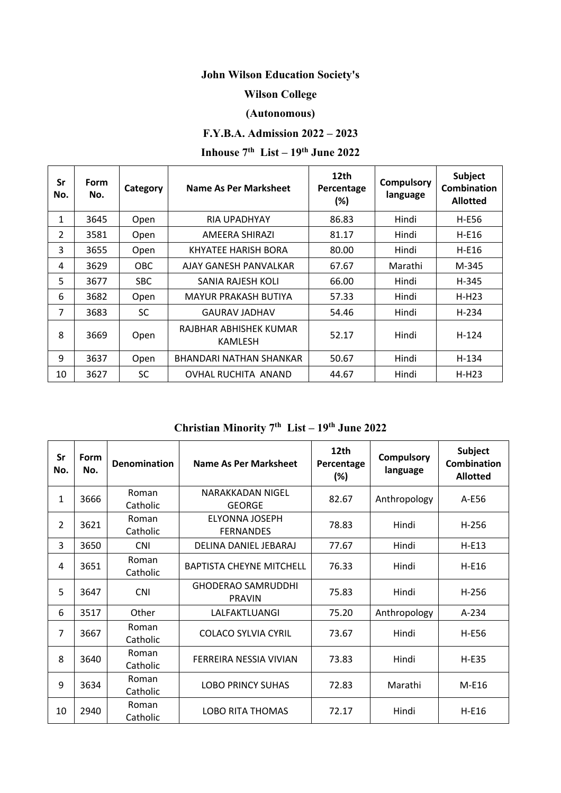# **John Wilson Education Society's**

### **Wilson College**

### **(Autonomous)**

## **F.Y.B.A. Admission 2022 – 2023**

# **Inhouse 7th List – 19th June 2022**

| Sr<br>No.      | <b>Form</b><br>No. | Category   | Name As Per Marksheet             | 12th<br>Percentage<br>$(\%)$ | <b>Compulsory</b><br>language | <b>Subject</b><br>Combination<br><b>Allotted</b> |
|----------------|--------------------|------------|-----------------------------------|------------------------------|-------------------------------|--------------------------------------------------|
| 1              | 3645               | Open       | RIA UPADHYAY                      | 86.83                        | Hindi                         | H-E56                                            |
| $\overline{2}$ | 3581               | Open       | AMEERA SHIRAZI                    | 81.17                        | Hindi                         | H-E16                                            |
| 3              | 3655               | Open       | KHYATEE HARISH BORA               | 80.00                        | Hindi                         | H-E16                                            |
| 4              | 3629               | <b>OBC</b> | AJAY GANESH PANVALKAR             | 67.67                        | Marathi                       | M-345                                            |
| 5              | 3677               | <b>SBC</b> | SANIA RAJESH KOLI                 | 66.00                        | Hindi                         | H-345                                            |
| 6              | 3682               | Open       | <b>MAYUR PRAKASH BUTIYA</b>       | 57.33                        | Hindi                         | $H-H23$                                          |
| 7              | 3683               | SC.        | <b>GAURAV JADHAV</b>              | 54.46                        | Hindi                         | H-234                                            |
| 8              | 3669               | Open       | RAJBHAR ABHISHEK KUMAR<br>KAMLESH | 52.17                        | Hindi                         | $H - 124$                                        |
| 9              | 3637               | Open       | BHANDARI NATHAN SHANKAR           | 50.67                        | Hindi                         | $H-134$                                          |
| 10             | 3627               | <b>SC</b>  | OVHAL RUCHITA ANAND               | 44.67                        | Hindi                         | $H-H23$                                          |

**Christian Minority 7th List – 19th June 2022**

| Sr<br>No.      | Form<br>No. | <b>Denomination</b> | Name As Per Marksheet                      | 12th<br>Percentage<br>(%) | <b>Compulsory</b><br>language | Subject<br><b>Combination</b><br><b>Allotted</b> |
|----------------|-------------|---------------------|--------------------------------------------|---------------------------|-------------------------------|--------------------------------------------------|
| $\mathbf{1}$   | 3666        | Roman<br>Catholic   | NARAKKADAN NIGEL<br><b>GEORGE</b>          | 82.67                     | Anthropology                  | A-E56                                            |
| $\overline{2}$ | 3621        | Roman<br>Catholic   | <b>ELYONNA JOSEPH</b><br><b>FERNANDES</b>  | 78.83                     | Hindi                         | $H-256$                                          |
| 3              | 3650        | <b>CNI</b>          | DELINA DANIEL JEBARAJ                      | 77.67                     | Hindi                         | $H-E13$                                          |
| 4              | 3651        | Roman<br>Catholic   | <b>BAPTISTA CHEYNE MITCHELL</b>            | 76.33                     | Hindi                         | H-E16                                            |
| 5              | 3647        | <b>CNI</b>          | <b>GHODERAO SAMRUDDHI</b><br><b>PRAVIN</b> | 75.83                     | Hindi                         | $H-256$                                          |
| 6              | 3517        | Other               | LALFAKTLUANGI                              | 75.20                     | Anthropology                  | $A-234$                                          |
| 7              | 3667        | Roman<br>Catholic   | <b>COLACO SYLVIA CYRIL</b>                 | 73.67                     | Hindi                         | H-E56                                            |
| 8              | 3640        | Roman<br>Catholic   | FERREIRA NESSIA VIVIAN                     | 73.83                     | Hindi                         | $H-E35$                                          |
| 9              | 3634        | Roman<br>Catholic   | <b>LOBO PRINCY SUHAS</b>                   | 72.83                     | Marathi                       | $M-E16$                                          |
| 10             | 2940        | Roman<br>Catholic   | <b>LOBO RITA THOMAS</b>                    | 72.17                     | Hindi                         | H-E16                                            |